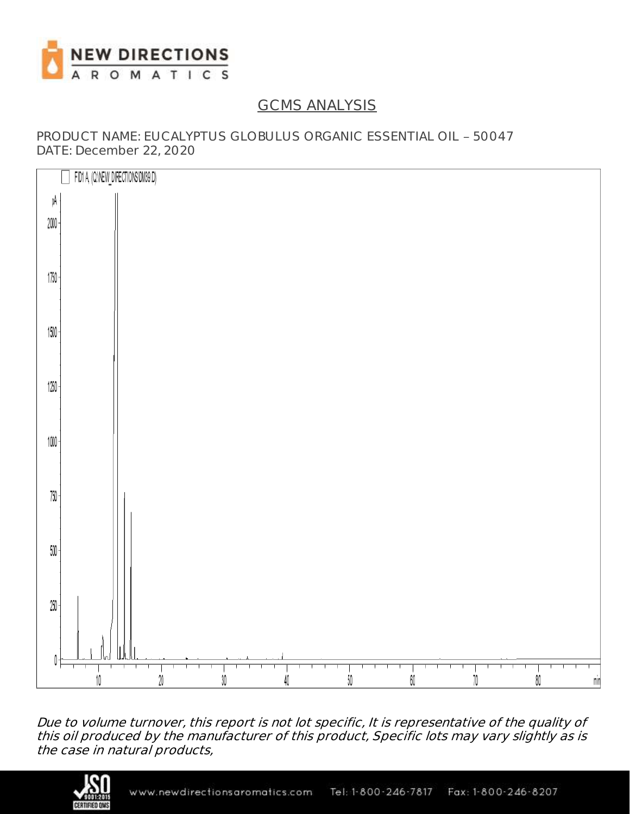

## GCMS ANALYSIS

PRODUCT NAME: EUCALYPTUS GLOBULUS ORGANIC ESSENTIAL OIL - 50047 DATE: December 22, 2020



Due to volume turnover, this report is not lot specific, It is representative of the quality of this oil produced by the manufacturer of this product, Specific lots may vary slightly as is the case in natural products,